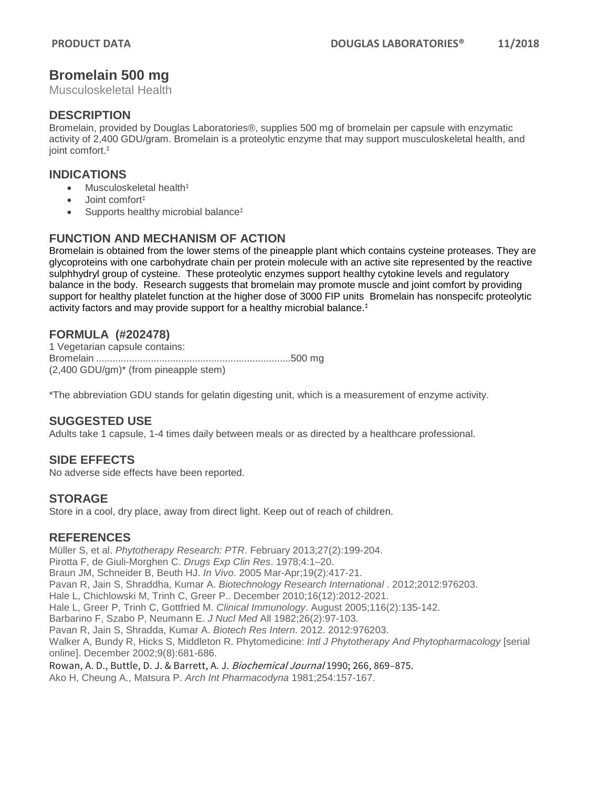## **Bromelain 500 mg**

Musculoskeletal Health

#### **DESCRIPTION**

Bromelain, provided by Douglas Laboratories®, supplies 500 mg of bromelain per capsule with enzymatic activity of 2,400 GDU/gram. Bromelain is a proteolytic enzyme that may support musculoskeletal health, and joint comfort.‡

#### **INDICATIONS**

- Musculoskeletal health<sup>‡</sup>
- Joint comfort‡
- Supports healthy microbial balance<sup>‡</sup>

## **FUNCTION AND MECHANISM OF ACTION**

Bromelain is obtained from the lower stems of the pineapple plant which contains cysteine proteases. They are glycoproteins with one carbohydrate chain per protein molecule with an active site represented by the reactive sulphhydryl group of cysteine. These proteolytic enzymes support healthy cytokine levels and regulatory balance in the body. Research suggests that bromelain may promote muscle and joint comfort by providing support for healthy platelet function at the higher dose of 3000 FIP units Bromelain has nonspecifc proteolytic activity factors and may provide support for a healthy microbial balance. ‡

## **FORMULA (#202478)**

1 Vegetarian capsule contains: Bromelain .......................................................................500 mg (2,400 GDU/gm)\* (from pineapple stem)

\*The abbreviation GDU stands for gelatin digesting unit, which is a measurement of enzyme activity.

## **SUGGESTED USE**

Adults take 1 capsule, 1-4 times daily between meals or as directed by a healthcare professional.

## **SIDE EFFECTS**

No adverse side effects have been reported.

#### **STORAGE**

Store in a cool, dry place, away from direct light. Keep out of reach of children.

#### **REFERENCES**

Müller S, et al. *Phytotherapy Research: PTR*. February 2013;27(2):199-204. Pirotta F, de Giuli-Morghen C. *Drugs Exp Clin Res*. 1978;4:1–20. Braun JM, Schneider B, Beuth HJ. *In Vivo*. 2005 Mar-Apr;19(2):417-21. Pavan R, Jain S, Shraddha, Kumar A. *Biotechnology Research International* . 2012;2012:976203. Hale L, Chichlowski M, Trinh C, Greer P.. December 2010;16(12):2012-2021. Hale L, Greer P, Trinh C, Gottfried M. *Clinical Immunology*. August 2005;116(2):135-142. Barbarino F, Szabo P, Neumann E. *J Nucl Med* All 1982;26(2):97-103. Pavan R, Jain S, Shradda, Kumar A. *Biotech Res Intern*. 2012. 2012:976203. Walker A, Bundy R, Hicks S, Middleton R. Phytomedicine: *Intl J Phytotherapy And Phytopharmacology* [serial online]. December 2002;9(8):681-686. Rowan, A. D., Buttle, D. J. & Barrett, A. J. Biochemical Journal 1990; 266, 869–875. Ako H, Cheung A., Matsura P. *Arch Int Pharmacodyna* 1981;254:157-167.